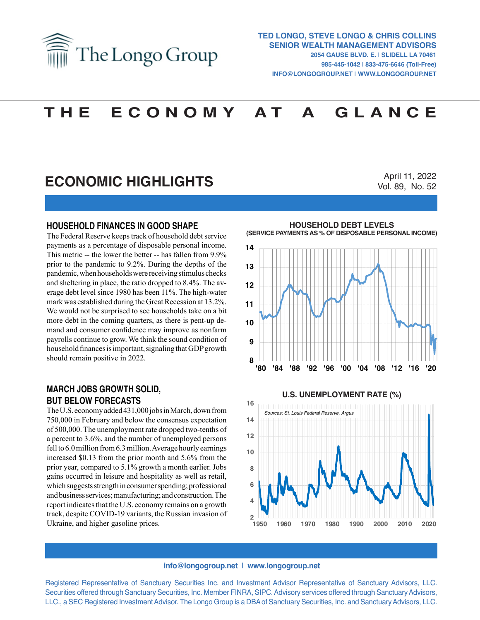

# **T H E E C O N O M Y A T A G L A N C E**

## **ECONOMIC HIGHLIGHTS**

April 11, 2022 Vol. 89, No. 52

### **HOUSEHOLD FINANCES IN GOOD SHAPE**

The Federal Reserve keeps track of household debt service payments as a percentage of disposable personal income. This metric -- the lower the better -- has fallen from 9.9% prior to the pandemic to 9.2%. During the depths of the pandemic, when households were receiving stimulus checks and sheltering in place, the ratio dropped to 8.4%. The average debt level since 1980 has been 11%. The high-water mark was established during the Great Recession at 13.2%. We would not be surprised to see households take on a bit more debt in the coming quarters, as there is pent-up demand and consumer confidence may improve as nonfarm payrolls continue to grow. We think the sound condition of household finances is important, signaling that GDP growth should remain positive in 2022.

### **MARCH JOBS GROWTH SOLID, BUT BELOW FORECASTS**

The U.S. economy added 431,000 jobs in March, down from 750,000 in February and below the consensus expectation of 500,000. The unemployment rate dropped two-tenths of a percent to 3.6%, and the number of unemployed persons fell to 6.0 million from 6.3 million. Average hourly earnings increased \$0.13 from the prior month and 5.6% from the prior year, compared to 5.1% growth a month earlier. Jobs gains occurred in leisure and hospitality as well as retail, which suggests strength in consumer spending; professional and business services; manufacturing; and construction. The report indicates that the U.S. economy remains on a growth track, despite COVID-19 variants, the Russian invasion of Ukraine, and higher gasoline prices.

**HOUSEHOLD DEBT LEVELS** (SERVICE PAYMENTS AS % OF DISPOSABLE PERSONAL INCOME)





#### **info@longogroup.net** | **www.longogroup.net**

Registered Representative of Sanctuary Securities Inc. and Investment Advisor Representative of Sanctuary Advisors, LLC. Securities offered through Sanctuary Securities, Inc. Member FINRA, SIPC. Advisory services offered through Sanctuary Advisors, LLC., a SEC Registered Investment Advisor. The Longo Group is a DBA of Sanctuary Securities, Inc. and Sanctuary Advisors, LLC.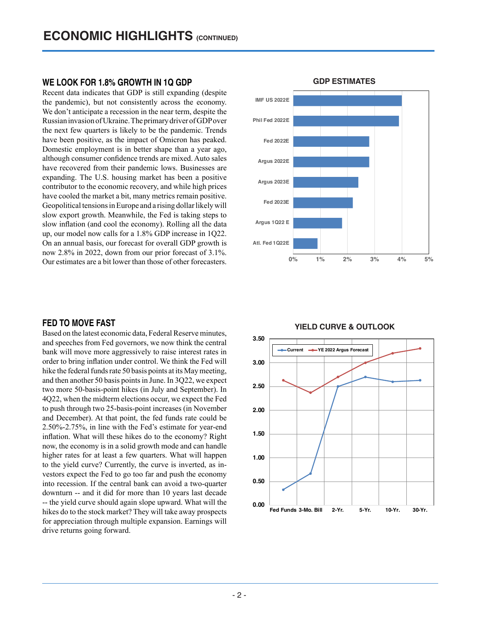### **WE LOOK FOR 1.8% GROWTH IN 1Q GDP**

Recent data indicates that GDP is still expanding (despite the pandemic), but not consistently across the economy. We don't anticipate a recession in the near term, despite the Russian invasion of Ukraine. The primary driver of GDP over the next few quarters is likely to be the pandemic. Trends have been positive, as the impact of Omicron has peaked. Domestic employment is in better shape than a year ago, although consumer confidence trends are mixed. Auto sales have recovered from their pandemic lows. Businesses are expanding. The U.S. housing market has been a positive contributor to the economic recovery, and while high prices have cooled the market a bit, many metrics remain positive. Geopolitical tensions in Europe and a rising dollar likely will slow export growth. Meanwhile, the Fed is taking steps to slow inflation (and cool the economy). Rolling all the data up, our model now calls for a 1.8% GDP increase in 1Q22. On an annual basis, our forecast for overall GDP growth is now 2.8% in 2022, down from our prior forecast of 3.1%. Our estimates are a bit lower than those of other forecasters.

### **FED TO MOVE FAST**

Based on the latest economic data, Federal Reserve minutes, and speeches from Fed governors, we now think the central bank will move more aggressively to raise interest rates in order to bring inflation under control. We think the Fed will hike the federal funds rate 50 basis points at its May meeting, and then another 50 basis points in June. In 3Q22, we expect two more 50-basis-point hikes (in July and September). In 4Q22, when the midterm elections occur, we expect the Fed to push through two 25-basis-point increases (in November and December). At that point, the fed funds rate could be 2.50%-2.75%, in line with the Fed's estimate for year-end inflation. What will these hikes do to the economy? Right now, the economy is in a solid growth mode and can handle higher rates for at least a few quarters. What will happen to the yield curve? Currently, the curve is inverted, as investors expect the Fed to go too far and push the economy into recession. If the central bank can avoid a two-quarter downturn -- and it did for more than 10 years last decade -- the yield curve should again slope upward. What will the hikes do to the stock market? They will take away prospects for appreciation through multiple expansion. Earnings will drive returns going forward.



### **GDP ESTIMATES GDP ESTIMATES**

# **YIELD CURVE & OUTLOOK YIELD CURVE & OUTLOOK**

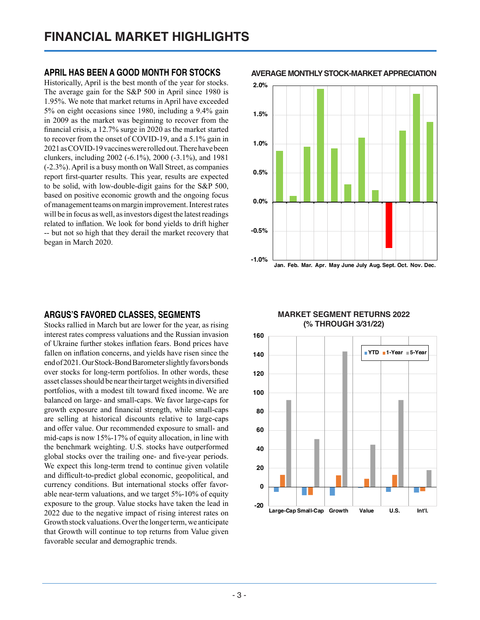### **APRIL HAS BEEN A GOOD MONTH FOR STOCKS**

Historically, April is the best month of the year for stocks. The average gain for the S&P 500 in April since 1980 is 1.95%. We note that market returns in April have exceeded 5% on eight occasions since 1980, including a 9.4% gain in 2009 as the market was beginning to recover from the financial crisis, a 12.7% surge in 2020 as the market started to recover from the onset of COVID-19, and a 5.1% gain in 2021 as COVID-19 vaccines were rolled out. There have been clunkers, including 2002 (-6.1%), 2000 (-3.1%), and 1981 (-2.3%). April is a busy month on Wall Street, as companies report first-quarter results. This year, results are expected to be solid, with low-double-digit gains for the S&P 500, based on positive economic growth and the ongoing focus of management teams on margin improvement. Interest rates will be in focus as well, as investors digest the latest readings related to inflation. We look for bond yields to drift higher -- but not so high that they derail the market recovery that began in March 2020.

### **ARGUS'S FAVORED CLASSES, SEGMENTS**

Stocks rallied in March but are lower for the year, as rising interest rates compress valuations and the Russian invasion of Ukraine further stokes inflation fears. Bond prices have fallen on inflation concerns, and yields have risen since the end of 2021. Our Stock-Bond Barometer slightly favors bonds over stocks for long-term portfolios. In other words, these asset classes should be near their target weights in diversified portfolios, with a modest tilt toward fixed income. We are balanced on large- and small-caps. We favor large-caps for growth exposure and financial strength, while small-caps are selling at historical discounts relative to large-caps and offer value. Our recommended exposure to small- and mid-caps is now 15%-17% of equity allocation, in line with the benchmark weighting. U.S. stocks have outperformed global stocks over the trailing one- and five-year periods. We expect this long-term trend to continue given volatile and difficult-to-predict global economic, geopolitical, and currency conditions. But international stocks offer favorable near-term valuations, and we target 5%-10% of equity exposure to the group. Value stocks have taken the lead in 2022 due to the negative impact of rising interest rates on Growth stock valuations. Over the longer term, we anticipate that Growth will continue to top returns from Value given favorable secular and demographic trends.

**AVERAGE MONTHLY STOCK-MARKET APPRECIATION Average Monthly Stock-Market Appreciation**



### **MARKET SEGMENT RETURNS 2022 (% THROUGH 3/31/22) MARKET SEGMENT RETURNS 2022 (% through 3/31/22)**